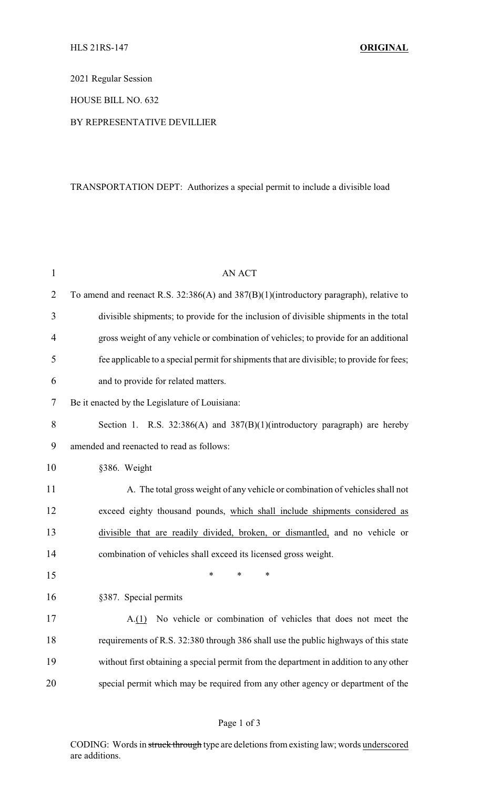2021 Regular Session

## HOUSE BILL NO. 632

### BY REPRESENTATIVE DEVILLIER

# TRANSPORTATION DEPT: Authorizes a special permit to include a divisible load

| $\mathbf{1}$   | <b>AN ACT</b>                                                                             |
|----------------|-------------------------------------------------------------------------------------------|
| $\overline{2}$ | To amend and reenact R.S. 32:386(A) and 387(B)(1)(introductory paragraph), relative to    |
| 3              | divisible shipments; to provide for the inclusion of divisible shipments in the total     |
| 4              | gross weight of any vehicle or combination of vehicles; to provide for an additional      |
| 5              | fee applicable to a special permit for shipments that are divisible; to provide for fees; |
| 6              | and to provide for related matters.                                                       |
| 7              | Be it enacted by the Legislature of Louisiana:                                            |
| 8              | Section 1. R.S. $32:386(A)$ and $387(B)(1)(introductory paragraph)$ are hereby            |
| 9              | amended and reenacted to read as follows:                                                 |
| 10             | §386. Weight                                                                              |
| 11             | A. The total gross weight of any vehicle or combination of vehicles shall not             |
| 12             | exceed eighty thousand pounds, which shall include shipments considered as                |
| 13             | divisible that are readily divided, broken, or dismantled, and no vehicle or              |
| 14             | combination of vehicles shall exceed its licensed gross weight.                           |
| 15             | *<br>*<br>∗                                                                               |
| 16             | §387. Special permits                                                                     |
| 17             | A.(1) No vehicle or combination of vehicles that does not meet the                        |
| 18             | requirements of R.S. 32:380 through 386 shall use the public highways of this state       |
| 19             | without first obtaining a special permit from the department in addition to any other     |
| 20             | special permit which may be required from any other agency or department of the           |

CODING: Words in struck through type are deletions from existing law; words underscored are additions.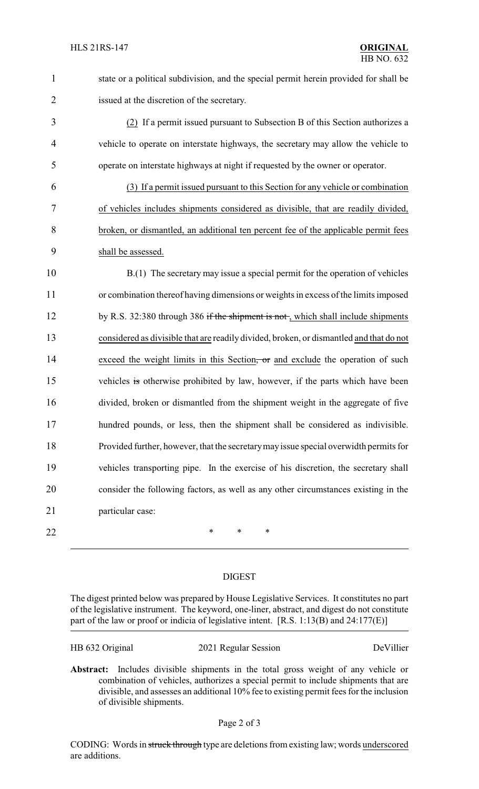1 state or a political subdivision, and the special permit herein provided for shall be 2 issued at the discretion of the secretary.

3 (2) If a permit issued pursuant to Subsection B of this Section authorizes a 4 vehicle to operate on interstate highways, the secretary may allow the vehicle to 5 operate on interstate highways at night if requested by the owner or operator.

 (3) If a permit issued pursuant to this Section for any vehicle or combination of vehicles includes shipments considered as divisible, that are readily divided, broken, or dismantled, an additional ten percent fee of the applicable permit fees shall be assessed.

 B.(1) The secretary may issue a special permit for the operation of vehicles or combination thereof having dimensions or weights in excess of the limits imposed 12 by R.S. 32:380 through 386 if the shipment is not, which shall include shipments considered as divisible that are readily divided, broken, or dismantled and that do not 14 exceed the weight limits in this Section, or and exclude the operation of such 15 vehicles is otherwise prohibited by law, however, if the parts which have been divided, broken or dismantled from the shipment weight in the aggregate of five hundred pounds, or less, then the shipment shall be considered as indivisible. Provided further, however, that the secretarymay issue special overwidth permits for vehicles transporting pipe. In the exercise of his discretion, the secretary shall consider the following factors, as well as any other circumstances existing in the particular case:

22 **\*** \* \* \*

# DIGEST

The digest printed below was prepared by House Legislative Services. It constitutes no part of the legislative instrument. The keyword, one-liner, abstract, and digest do not constitute part of the law or proof or indicia of legislative intent. [R.S. 1:13(B) and 24:177(E)]

HB 632 Original 2021 Regular Session DeVillier

**Abstract:** Includes divisible shipments in the total gross weight of any vehicle or combination of vehicles, authorizes a special permit to include shipments that are divisible, and assesses an additional 10% fee to existing permit fees for the inclusion of divisible shipments.

CODING: Words in struck through type are deletions from existing law; words underscored are additions.